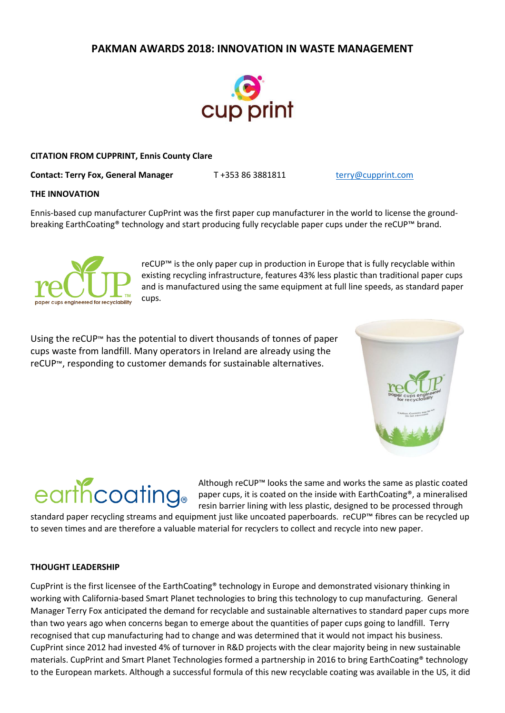### **PAKMAN AWARDS 2018: INNOVATION IN WASTE MANAGEMENT**



### **CITATION FROM CUPPRINT, Ennis County Clare**

**Contact: Terry Fox, General Manager** T +353 86 3881811 [terry@cupprint.com](mailto:terry@cupprint.com)

### **THE INNOVATION**

Ennis-based cup manufacturer CupPrint was the first paper cup manufacturer in the world to license the groundbreaking EarthCoating® technology and start producing fully recyclable paper cups under the reCUP™ brand.



reCUP™ is the only paper cup in production in Europe that is fully recyclable within existing recycling infrastructure, features 43% less plastic than traditional paper cups and is manufactured using the same equipment at full line speeds, as standard paper cups.

Using the reCUP™ has the potential to divert thousands of tonnes of paper cups waste from landfill. Many operators in Ireland are already using the reCUP™, responding to customer demands for sustainable alternatives.





Although reCUP™ looks the same and works the same as plastic coated paper cups, it is coated on the inside with EarthCoating®, a mineralised resin barrier lining with less plastic, designed to be processed through

standard paper recycling streams and equipment just like uncoated paperboards. reCUP™ fibres can be recycled up to seven times and are therefore a valuable material for recyclers to collect and recycle into new paper.

### **THOUGHT LEADERSHIP**

CupPrint is the first licensee of the EarthCoating® technology in Europe and demonstrated visionary thinking in working with California-based Smart Planet technologies to bring this technology to cup manufacturing. General Manager Terry Fox anticipated the demand for recyclable and sustainable alternatives to standard paper cups more than two years ago when concerns began to emerge about the quantities of paper cups going to landfill. Terry recognised that cup manufacturing had to change and was determined that it would not impact his business. CupPrint since 2012 had invested 4% of turnover in R&D projects with the clear majority being in new sustainable materials. CupPrint and Smart Planet Technologies formed a partnership in 2016 to bring EarthCoating® technology to the European markets. Although a successful formula of this new recyclable coating was available in the US, it did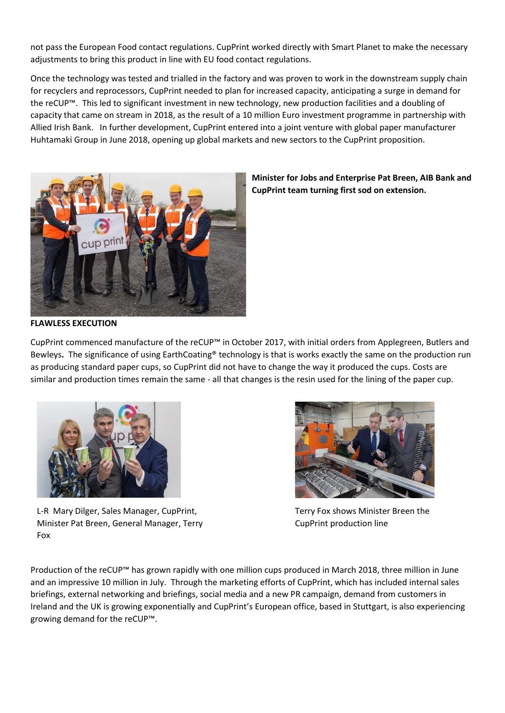not pass the European Food contact regulations. CupPrint worked directly with Smart Planet to make the necessary adjustments to bring this product in line with EU food contact regulations.

Once the technology was tested and trialled in the factory and was proven to work in the downstream supply chain for recyclers and reprocessors, CupPrint needed to plan for increased capacity, anticipating a surge in demand for the reCUP™. This led to significant investment in new technology, new production facilities and a doubling of capacity that came on stream in 2018, as the result of a 10 million Euro investment programme in partnership with Allied Irish Bank. In further development, CupPrint entered into a joint venture with global paper manufacturer Huhtamaki Group in June 2018, opening up global markets and new sectors to the CupPrint proposition.



**Minister for Jobs and Enterprise Pat Breen, AIB Bank and CupPrint team turning first sod on extension.** 

### **FLAWLESS EXECUTION**

CupPrint commenced manufacture of the reCUP™ in October 2017, with initial orders from Applegreen, Butlers and Bewleys**.** The significance of using EarthCoating® technology is that is works exactly the same on the production run as producing standard paper cups, so CupPrint did not have to change the way it produced the cups. Costs are similar and production times remain the same - all that changes is the resin used for the lining of the paper cup.



L-R Mary Dilger, Sales Manager, CupPrint, Minister Pat Breen, General Manager, Terry Fox



Terry Fox shows Minister Breen the CupPrint production line

Production of the reCUP™ has grown rapidly with one million cups produced in March 2018, three million in June and an impressive 10 million in July. Through the marketing efforts of CupPrint, which has included internal sales briefings, external networking and briefings, social media and a new PR campaign, demand from customers in Ireland and the UK is growing exponentially and CupPrint's European office, based in Stuttgart, is also experiencing growing demand for the reCUP™.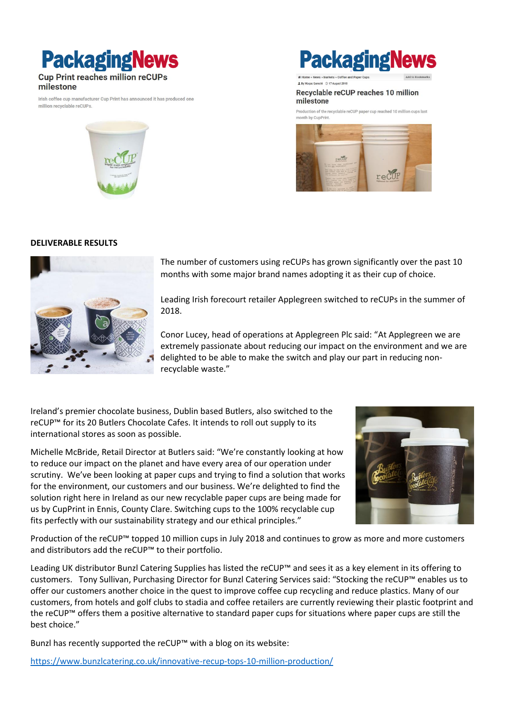## **PackagingNews Cup Print reaches million reCUPs**

### milestone

Irish coffee cup manufacturer Cup Print has announced it has produced one million recyclable reCUPs.

# **PackagingN**

#### Recyclable reCUP reaches 10 million milestone

Production of the recyclable reCUP paper cup reached 10 million cups last



### **DELIVERABLE RESULTS**



The number of customers using reCUPs has grown significantly over the past 10 months with some major brand names adopting it as their cup of choice.

Leading Irish forecourt retailer Applegreen switched to reCUPs in the summer of 2018.

Conor Lucey, head of operations at Applegreen Plc said: "At Applegreen we are extremely passionate about reducing our impact on the environment and we are delighted to be able to make the switch and play our part in reducing nonrecyclable waste."

Ireland's premier chocolate business, Dublin based Butlers, also switched to the reCUP™ for its 20 Butlers Chocolate Cafes. It intends to roll out supply to its international stores as soon as possible.

Michelle McBride, Retail Director at Butlers said: "We're constantly looking at how to reduce our impact on the planet and have every area of our operation under scrutiny. We've been looking at paper cups and trying to find a solution that works for the environment, our customers and our business. We're delighted to find the solution right here in Ireland as our new recyclable paper cups are being made for us by CupPrint in Ennis, County Clare. Switching cups to the 100% recyclable cup fits perfectly with our sustainability strategy and our ethical principles."



Production of the reCUP™ topped 10 million cups in July 2018 and continues to grow as more and more customers and distributors add the reCUP™ to their portfolio.

Leading UK distributor Bunzl Catering Supplies has listed the reCUP™ and sees it as a key element in its offering to customers. Tony Sullivan, Purchasing Director for Bunzl Catering Services said: "Stocking the reCUP™ enables us to offer our customers another choice in the quest to improve coffee cup recycling and reduce plastics. Many of our customers, from hotels and golf clubs to stadia and coffee retailers are currently reviewing their plastic footprint and the reCUP™ offers them a positive alternative to standard paper cups for situations where paper cups are still the best choice."

Bunzl has recently supported the reCUP™ with a blog on its website:

<https://www.bunzlcatering.co.uk/innovative-recup-tops-10-million-production/>